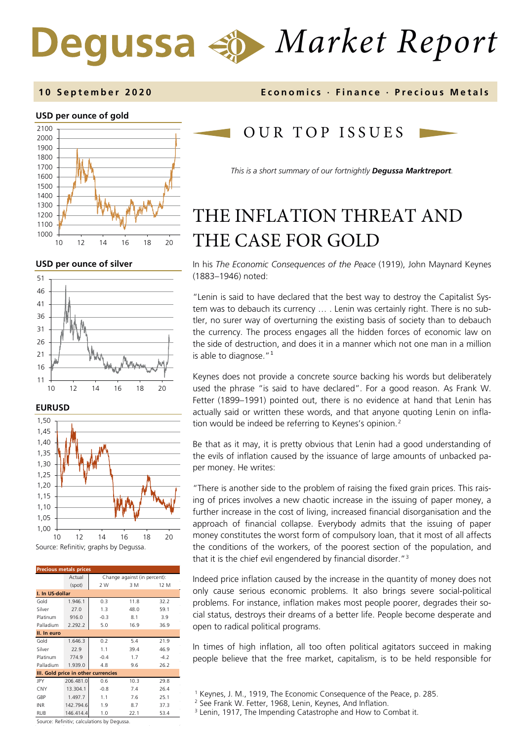# *Market Report*

#### **10 September 2020 Economics · Finance · Precious M etals**

#### **USD per ounce of gold**



**USD per ounce of silver** 







| <b>Precious metals prices</b>       |           |                              |      |        |  |  |  |
|-------------------------------------|-----------|------------------------------|------|--------|--|--|--|
|                                     | Actual    | Change against (in percent): |      |        |  |  |  |
|                                     | (spot)    | 2 W                          | 3 M  | 12 M   |  |  |  |
| I. In US-dollar                     |           |                              |      |        |  |  |  |
| Gold                                | 1.946.1   | 0.3                          | 11.8 | 32.2   |  |  |  |
| Silver                              | 27.0      | 1.3                          | 48.0 | 59.1   |  |  |  |
| Platinum                            | 916.0     | $-0.3$                       | 8.1  | 3.9    |  |  |  |
| Palladium                           | 2.292.2   | 5.0                          | 16.9 | 36.9   |  |  |  |
| II. In euro                         |           |                              |      |        |  |  |  |
| Gold                                | 1.646.3   | 0.2                          | 5.4  | 21.9   |  |  |  |
| Silver                              | 22.9      | 1.1                          | 39.4 | 46.9   |  |  |  |
| Platinum                            | 774.9     | $-0.4$                       | 1.7  | $-4.2$ |  |  |  |
| Palladium                           | 1.939.0   | 4.8                          | 9.6  | 26.2   |  |  |  |
| III. Gold price in other currencies |           |                              |      |        |  |  |  |
| JPY                                 | 206.481.0 | 0.6                          | 10.3 | 29.8   |  |  |  |
| CNY                                 | 13.304.1  | $-0.8$                       | 7.4  | 26.4   |  |  |  |
| GBP                                 | 1.497.7   | 1.1                          | 7.6  | 25.1   |  |  |  |
| <b>INR</b>                          | 142.794.6 | 1.9                          | 8.7  | 37.3   |  |  |  |
| RUB                                 | 146.414.4 | 1.0                          | 22.1 | 53.4   |  |  |  |

OUR TOP ISSUE S

*This is a short summary of our fortnightly Degussa Marktreport.*

## THE INFLATION THREAT AND THE CASE FOR GOLD

In his *The Economic Consequences of the Peace* (1919), John Maynard Keynes (1883–1946) noted:

"Lenin is said to have declared that the best way to destroy the Capitalist System was to debauch its currency … . Lenin was certainly right. There is no subtler, no surer way of overturning the existing basis of society than to debauch the currency. The process engages all the hidden forces of economic law on the side of destruction, and does it in a manner which not one man in a million is able to diagnose. $11$  $11$ 

Keynes does not provide a concrete source backing his words but deliberately used the phrase "is said to have declared". For a good reason. As Frank W. Fetter (1899–1991) pointed out, there is no evidence at hand that Lenin has actually said or written these words, and that anyone quoting Lenin on infla-tion would be indeed be referring to Keynes's opinion.<sup>[2](#page-0-1)</sup>

Be that as it may, it is pretty obvious that Lenin had a good understanding of the evils of inflation caused by the issuance of large amounts of unbacked paper money. He writes:

"There is another side to the problem of raising the fixed grain prices. This raising of prices involves a new chaotic increase in the issuing of paper money, a further increase in the cost of living, increased financial disorganisation and the approach of financial collapse. Everybody admits that the issuing of paper money constitutes the worst form of compulsory loan, that it most of all affects the conditions of the workers, of the poorest section of the population, and that it is the chief evil engendered by financial disorder."[3](#page-0-2)

Indeed price inflation caused by the increase in the quantity of money does not only cause serious economic problems. It also brings severe social-political problems. For instance, inflation makes most people poorer, degrades their social status, destroys their dreams of a better life. People become desperate and open to radical political programs.

In times of high inflation, all too often political agitators succeed in making people believe that the free market, capitalism, is to be held responsible for

<span id="page-0-2"></span><span id="page-0-1"></span><span id="page-0-0"></span>Source: Refinitiv; calculations by Degussa.

<sup>&</sup>lt;sup>1</sup> Keynes, J. M., 1919, The Economic Consequence of the Peace, p. 285.<br><sup>2</sup> See Frank W. Fetter, 1968, Lenin, Keynes, And Inflation.

<sup>&</sup>lt;sup>3</sup> Lenin, 1917, The Impending Catastrophe and How to Combat it.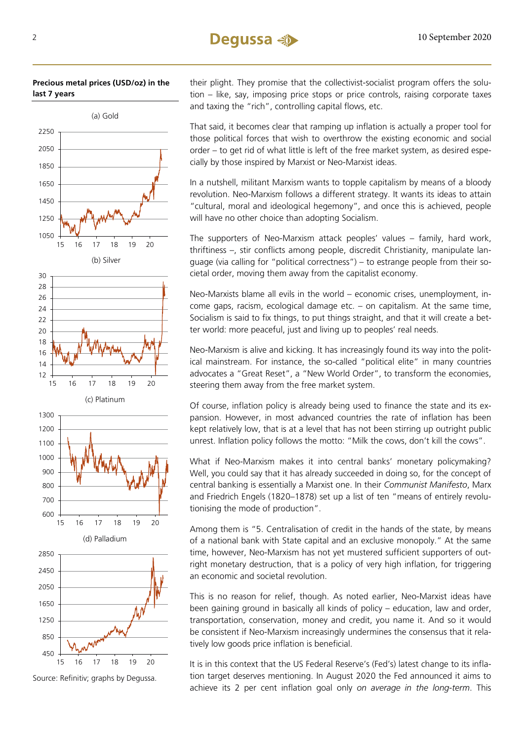#### **Precious metal prices (USD/oz) in the last 7 years**



Source: Refinitiv; graphs by Degussa.

their plight. They promise that the collectivist-socialist program offers the solution – like, say, imposing price stops or price controls, raising corporate taxes and taxing the "rich", controlling capital flows, etc.

That said, it becomes clear that ramping up inflation is actually a proper tool for those political forces that wish to overthrow the existing economic and social order – to get rid of what little is left of the free market system, as desired especially by those inspired by Marxist or Neo-Marxist ideas.

In a nutshell, militant Marxism wants to topple capitalism by means of a bloody revolution. Neo-Marxism follows a different strategy. It wants its ideas to attain "cultural, moral and ideological hegemony", and once this is achieved, people will have no other choice than adopting Socialism.

The supporters of Neo-Marxism attack peoples' values – family, hard work, thriftiness –, stir conflicts among people, discredit Christianity, manipulate language (via calling for "political correctness") – to estrange people from their societal order, moving them away from the capitalist economy.

Neo-Marxists blame all evils in the world – economic crises, unemployment, income gaps, racism, ecological damage etc. – on capitalism. At the same time, Socialism is said to fix things, to put things straight, and that it will create a better world: more peaceful, just and living up to peoples' real needs.

Neo-Marxism is alive and kicking. It has increasingly found its way into the political mainstream. For instance, the so-called "political elite" in many countries advocates a "Great Reset", a "New World Order", to transform the economies, steering them away from the free market system.

Of course, inflation policy is already being used to finance the state and its expansion. However, in most advanced countries the rate of inflation has been kept relatively low, that is at a level that has not been stirring up outright public unrest. Inflation policy follows the motto: "Milk the cows, don't kill the cows".

What if Neo-Marxism makes it into central banks' monetary policymaking? Well, you could say that it has already succeeded in doing so, for the concept of central banking is essentially a Marxist one. In their *Communist Manifesto*, Marx and Friedrich Engels (1820–1878) set up a list of ten "means of entirely revolutionising the mode of production".

Among them is "5. Centralisation of credit in the hands of the state, by means of a national bank with State capital and an exclusive monopoly." At the same time, however, Neo-Marxism has not yet mustered sufficient supporters of outright monetary destruction, that is a policy of very high inflation, for triggering an economic and societal revolution.

This is no reason for relief, though. As noted earlier, Neo-Marxist ideas have been gaining ground in basically all kinds of policy – education, law and order, transportation, conservation, money and credit, you name it. And so it would be consistent if Neo-Marxism increasingly undermines the consensus that it relatively low goods price inflation is beneficial.

It is in this context that the US Federal Reserve's (Fed's) latest change to its inflation target deserves mentioning. In August 2020 the Fed announced it aims to achieve its 2 per cent inflation goal only *on average in the long-term*. This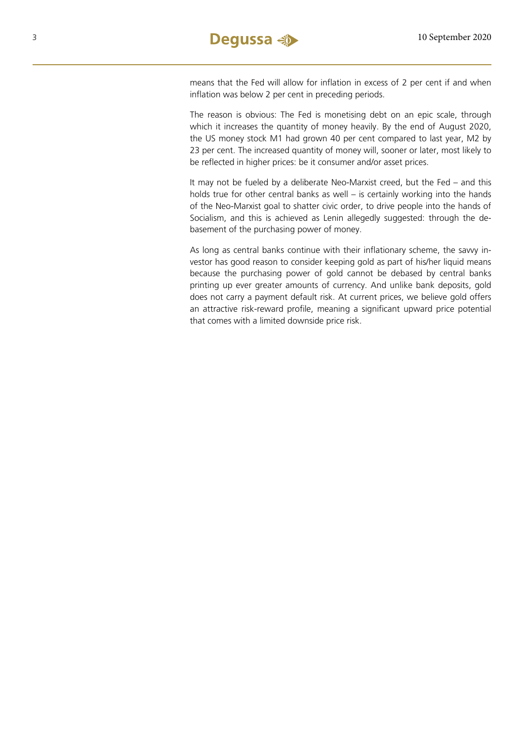means that the Fed will allow for inflation in excess of 2 per cent if and when inflation was below 2 per cent in preceding periods.

The reason is obvious: The Fed is monetising debt on an epic scale, through which it increases the quantity of money heavily. By the end of August 2020, the US money stock M1 had grown 40 per cent compared to last year, M2 by 23 per cent. The increased quantity of money will, sooner or later, most likely to be reflected in higher prices: be it consumer and/or asset prices.

It may not be fueled by a deliberate Neo-Marxist creed, but the Fed – and this holds true for other central banks as well – is certainly working into the hands of the Neo-Marxist goal to shatter civic order, to drive people into the hands of Socialism, and this is achieved as Lenin allegedly suggested: through the debasement of the purchasing power of money.

As long as central banks continue with their inflationary scheme, the savvy investor has good reason to consider keeping gold as part of his/her liquid means because the purchasing power of gold cannot be debased by central banks printing up ever greater amounts of currency. And unlike bank deposits, gold does not carry a payment default risk. At current prices, we believe gold offers an attractive risk-reward profile, meaning a significant upward price potential that comes with a limited downside price risk.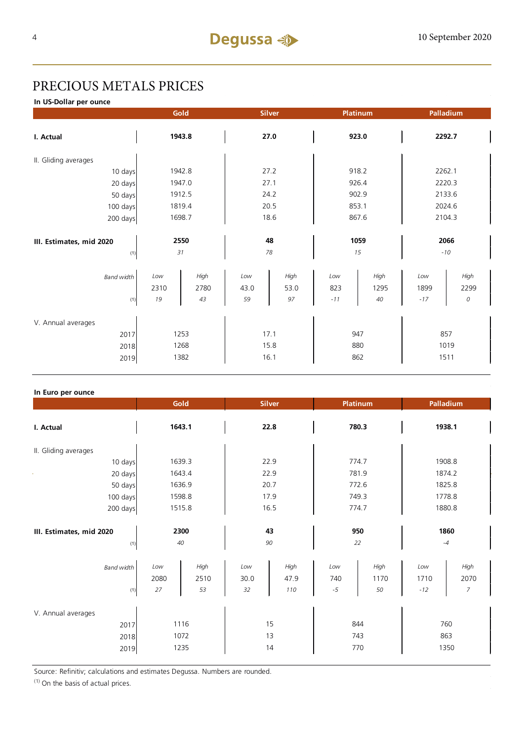## PRECIOUS METALS PRICES

**In US-Dollar per ounce**

|                          |        | Gold   | <b>Silver</b> |      | Platinum |       | Palladium |        |  |
|--------------------------|--------|--------|---------------|------|----------|-------|-----------|--------|--|
| I. Actual                |        | 1943.8 |               | 27.0 |          | 923.0 |           | 2292.7 |  |
| II. Gliding averages     |        |        |               |      |          |       |           |        |  |
| 10 days                  | 1942.8 |        | 27.2          |      | 918.2    |       | 2262.1    |        |  |
| 20 days                  | 1947.0 |        | 27.1          |      | 926.4    |       | 2220.3    |        |  |
| 50 days                  | 1912.5 |        | 24.2          |      | 902.9    |       | 2133.6    |        |  |
| 100 days                 | 1819.4 |        | 20.5          |      | 853.1    |       | 2024.6    |        |  |
| 200 days                 | 1698.7 |        | 18.6          |      | 867.6    |       | 2104.3    |        |  |
|                          |        |        |               |      |          |       |           |        |  |
| III. Estimates, mid 2020 | 2550   |        | 48            |      | 1059     |       | 2066      |        |  |
| (1)                      |        | 31     | 78            |      | 15       |       | $-10$     |        |  |
| <b>Band width</b>        | Low    | High   | Low           | High | Low      | High  | Low       | High   |  |
|                          | 2310   | 2780   | 43.0          | 53.0 | 823      | 1295  | 1899      | 2299   |  |
| (1)                      | 19     | 43     | 59            | 97   | $-11$    | 40    | $-17$     | 0      |  |
| V. Annual averages       |        |        |               |      |          |       |           |        |  |
| 2017                     | 1253   |        | 17.1          |      | 947      |       | 857       |        |  |
| 2018                     | 1268   |        | 15.8          |      | 880      |       | 1019      |        |  |
| 2019                     |        | 1382   | 16.1          |      | 862      |       | 1511      |        |  |

#### **In Euro per ounce**

|                                            | Gold                                    |                   | <b>Silver</b>       |                    | <b>Platinum</b>    |                      | Palladium          |  |
|--------------------------------------------|-----------------------------------------|-------------------|---------------------|--------------------|--------------------|----------------------|--------------------|--|
| I. Actual                                  | 1643.1                                  |                   | 22.8                |                    | 780.3              |                      | 1938.1             |  |
| II. Gliding averages                       |                                         |                   |                     |                    |                    |                      |                    |  |
| 10 days                                    | 1639.3                                  |                   | 22.9                |                    | 774.7              |                      | 1908.8             |  |
| 20 days                                    | 1643.4                                  |                   | 22.9                |                    | 781.9              |                      | 1874.2             |  |
| 50 days                                    | 1636.9                                  |                   | 20.7                |                    | 772.6              |                      | 1825.8             |  |
| 100 days                                   | 1598.8                                  |                   | 17.9                |                    | 749.3              |                      | 1778.8             |  |
| 200 days                                   | 1515.8                                  |                   | 16.5                |                    | 774.7              |                      | 1880.8             |  |
| III. Estimates, mid 2020<br>(1)            | 2300<br>40                              |                   | 43<br>90            |                    | 950<br>22          |                      | 1860<br>$-4$       |  |
| <b>Band width</b><br>(1)                   | High<br>Low<br>2080<br>2510<br>27<br>53 | Low<br>30.0<br>32 | High<br>47.9<br>110 | Low<br>740<br>$-5$ | High<br>1170<br>50 | Low<br>1710<br>$-12$ | High<br>2070<br>7  |  |
| V. Annual averages<br>2017<br>2018<br>2019 | 1116<br>1072<br>1235                    |                   | 15<br>13<br>14      |                    | 844<br>743<br>770  |                      | 760<br>863<br>1350 |  |

Source: Refinitiv; calculations and estimates Degussa. Numbers are rounded.

 $(1)$  On the basis of actual prices.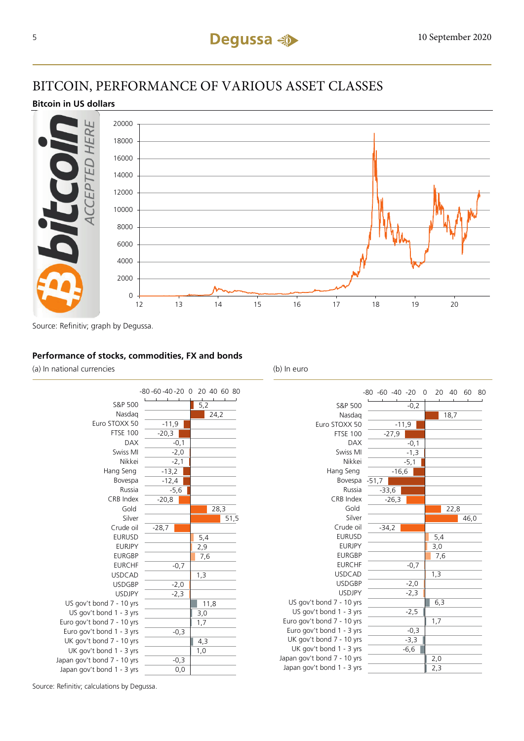## BITCOIN, PERFORMANCE OF VARIOUS ASSET CLASSES

### **Bitcoin in US dollars**



Source: Refinitiv; graph by Degussa.

#### **Performance of stocks, commodities, FX and bonds**

(a) In national currencies (b) In euro



|                             | -80 -60 -40 -20 0 |                  | 20  | 40   | 60   | 80 |
|-----------------------------|-------------------|------------------|-----|------|------|----|
| S&P 500                     |                   | $\frac{1}{-0,2}$ |     |      |      |    |
| Nasdag                      |                   |                  |     | 18,7 |      |    |
| Euro STOXX 50               | $-11,9$           |                  |     |      |      |    |
| <b>FTSE 100</b>             | $-27,9$           |                  |     |      |      |    |
| <b>DAX</b>                  |                   | $-0,1$           |     |      |      |    |
| Swiss MI                    |                   | $-1,3$           |     |      |      |    |
| Nikkei                      |                   | $-5,1$           |     |      |      |    |
| Hang Seng                   | $-16,6$           |                  |     |      |      |    |
| Bovespa                     | $-51,7$           |                  |     |      |      |    |
| Russia                      | $-33,6$           |                  |     |      |      |    |
| CRB Index                   | $-26,3$           |                  |     |      |      |    |
| Gold                        |                   |                  |     | 22,8 |      |    |
| Silver                      |                   |                  |     |      | 46,0 |    |
| Crude oil                   | $-34.2$           |                  |     |      |      |    |
| <b>EURUSD</b>               |                   |                  | 5,4 |      |      |    |
| <b>EURJPY</b>               |                   |                  | 3,0 |      |      |    |
| <b>EURGBP</b>               |                   |                  | 7,6 |      |      |    |
| <b>EURCHF</b>               |                   | $-0,7$           |     |      |      |    |
| <b>USDCAD</b>               |                   |                  | 1,3 |      |      |    |
| <b>USDGBP</b>               |                   | $-2,0$           |     |      |      |    |
| <b>USDJPY</b>               |                   | $-2,3$           |     |      |      |    |
| US gov't bond 7 - 10 yrs    |                   |                  | 6,3 |      |      |    |
| US gov't bond 1 - 3 yrs     |                   | $-2,5$           |     |      |      |    |
| Euro gov't bond 7 - 10 yrs  |                   |                  | 1,7 |      |      |    |
| Euro gov't bond 1 - 3 yrs   |                   | $-0,3$           |     |      |      |    |
| UK gov't bond 7 - 10 yrs    |                   | $-3,3$           |     |      |      |    |
| UK gov't bond 1 - 3 yrs     |                   | $-6,6$           |     |      |      |    |
| Japan gov't bond 7 - 10 yrs |                   |                  | 2,0 |      |      |    |
| Japan gov't bond 1 - 3 yrs  |                   |                  | 2,3 |      |      |    |

Source: Refinitiv; calculations by Degussa.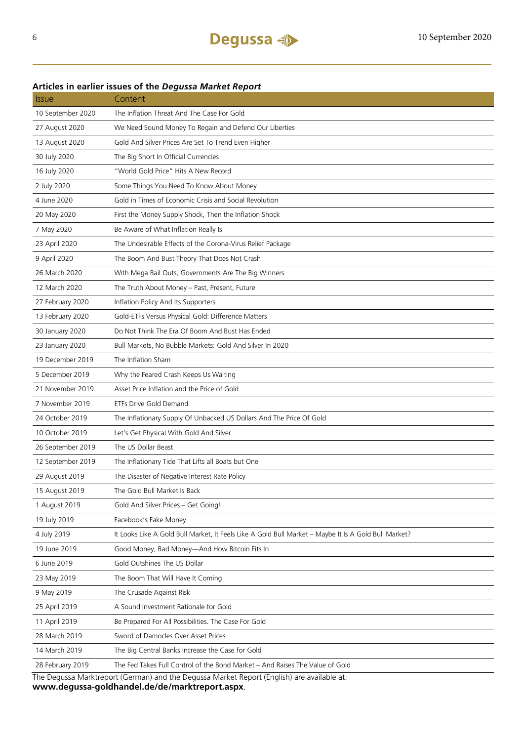## Issue Content 10 September 2020 The Inflation Threat And The Case For Gold 27 August 2020 We Need Sound Money To Regain and Defend Our Liberties 13 August 2020 Gold And Silver Prices Are Set To Trend Even Higher 30 July 2020 The Big Short In Official Currencies 16 July 2020 "World Gold Price" Hits A New Record 2 July 2020 Some Things You Need To Know About Money 4 June 2020 Gold in Times of Economic Crisis and Social Revolution 20 May 2020 First the Money Supply Shock, Then the Inflation Shock 7 May 2020 Be Aware of What Inflation Really Is 23 April 2020 The Undesirable Effects of the Corona-Virus Relief Package 9 April 2020 The Boom And Bust Theory That Does Not Crash 26 March 2020 With Mega Bail Outs, Governments Are The Big Winners 12 March 2020 The Truth About Money – Past, Present, Future 27 February 2020 Inflation Policy And Its Supporters 13 February 2020 Gold-ETFs Versus Physical Gold: Difference Matters 30 January 2020 Do Not Think The Era Of Boom And Bust Has Ended 23 January 2020 Bull Markets, No Bubble Markets: Gold And Silver In 2020 19 December 2019 The Inflation Sham 5 December 2019 Why the Feared Crash Keeps Us Waiting 21 November 2019 Asset Price Inflation and the Price of Gold 7 November 2019 ETFs Drive Gold Demand 24 October 2019 The Inflationary Supply Of Unbacked US Dollars And The Price Of Gold 10 October 2019 Let's Get Physical With Gold And Silver 26 September 2019 The US Dollar Beast 12 September 2019 The Inflationary Tide That Lifts all Boats but One 29 August 2019 The Disaster of Negative Interest Rate Policy 15 August 2019 The Gold Bull Market Is Back 1 August 2019 Gold And Silver Prices – Get Going! 19 July 2019 Facebook's Fake Money 4 July 2019 It Looks Like A Gold Bull Market, It Feels Like A Gold Bull Market – Maybe It Is A Gold Bull Market? 19 June 2019 Good Money, Bad Money—And How Bitcoin Fits In 6 June 2019 Gold Outshines The US Dollar 23 May 2019 The Boom That Will Have It Coming 9 May 2019 The Crusade Against Risk 25 April 2019 A Sound Investment Rationale for Gold 11 April 2019 Be Prepared For All Possibilities. The Case For Gold 28 March 2019 Sword of Damocles Over Asset Prices 14 March 2019 The Big Central Banks Increase the Case for Gold 28 February 2019 The Fed Takes Full Control of the Bond Market – And Raises The Value of Gold

#### **Articles in earlier issues of the** *Degussa Market Report*

The Degussa Marktreport (German) and the Degussa Market Report (English) are available at: **www.degussa-goldhandel.de/de/marktreport.aspx**.